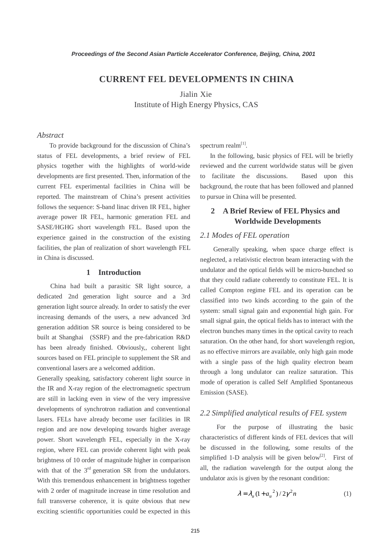## **CURRENT FEL DEVELOPMENTS IN CHINA**

Jialin Xie Institute of High Energy Physics, CAS

#### *Abstract*

 To provide background for the discussion of China's status of FEL developments, a brief review of FEL physics together with the highlights of world-wide developments are first presented. Then, information of the current FEL experimental facilities in China will be reported. The mainstream of China's present activities follows the sequence: S-band linac driven IR FEL, higher average power IR FEL, harmonic generation FEL and SASE/HGHG short wavelength FEL. Based upon the experience gained in the construction of the existing facilities, the plan of realization of short wavelength FEL in China is discussed.

### **1 Introduction**

 China had built a parasitic SR light source, a dedicated 2nd generation light source and a 3rd generation light source already. In order to satisfy the ever increasing demands of the users, a new advanced 3rd generation addition SR source is being considered to be built at Shanghai (SSRF) and the pre-fabrication R&D has been already finished. Obviously,, coherent light sources based on FEL principle to supplement the SR and conventional lasers are a welcomed addition.

Generally speaking, satisfactory coherent light source in the IR and X-ray region of the electromagnetic spectrum are still in lacking even in view of the very impressive developments of synchrotron radiation and conventional lasers. FELs have already become user facilities in IR region and are now developing towards higher average power. Short wavelength FEL, especially in the X-ray region, where FEL can provide coherent light with peak brightness of 10 order of magnitude higher in comparison with that of the  $3<sup>rd</sup>$  generation SR from the undulators. With this tremendous enhancement in brightness together with 2 order of magnitude increase in time resolution and full transverse coherence, it is quite obvious that new exciting scientific opportunities could be expected in this spectrum realm $^{[1]}$ .

 In the following, basic physics of FEL will be briefly reviewed and the current worldwide status will be given to facilitate the discussions. Based upon this background, the route that has been followed and planned to pursue in China will be presented.

# **2 A Brief Review of FEL Physics and Worldwide Developments**

### *2.1 Modes of FEL operation*

 Generally speaking, when space charge effect is neglected, a relativistic electron beam interacting with the undulator and the optical fields will be micro-bunched so that they could radiate coherently to constitute FEL. It is called Compton regime FEL and its operation can be classified into two kinds according to the gain of the system: small signal gain and exponential high gain. For small signal gain, the optical fields has to interact with the electron bunches many times in the optical cavity to reach saturation. On the other hand, for short wavelength region, as no effective mirrors are available, only high gain mode with a single pass of the high quality electron beam through a long undulator can realize saturation. This mode of operation is called Self Amplified Spontaneous Emission (SASE).

### *2.2 Simplified analytical results of FEL system*

 For the purpose of illustrating the basic characteristics of different kinds of FEL devices that will be discussed in the following, some results of the simplified 1-D analysis will be given below<sup>[2]</sup>. First of all, the radiation wavelength for the output along the undulator axis is given by the resonant condition:

$$
\lambda = \lambda_u (1 + a_u^2) / 2\gamma^2 n \tag{1}
$$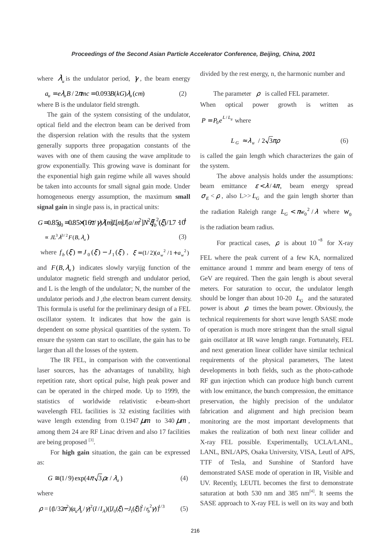where  $\lambda_{\mu}$  is the undulator period,  $\gamma$ , the beam energy divided by the rest energy, n, the harmonic number and

 $a_u = e\lambda_u B / 2\pi n c = 0.093B(kG)\lambda_u$  (*cm*) (2)

where B is the undulator field strength.

 The gain of the system consisting of the undulator, optical field and the electron beam can be derived from the dispersion relation with the results that the system generally supports three propagation constants of the waves with one of them causing the wave amplitude to grow exponentially. This growing wave is dominant for the exponential high gain regime while all waves should be taken into accounts for small signal gain mode. Under homogeneous energy assumption, the maximum **small signal gain** in single pass is, in practical units:

# G=0.85z<sub>0</sub>=0.85×(16π/γ)Am]Цm]Лa/m<sup>2</sup>]N<sup>2</sup>ξf<sub>b</sub><sup>2</sup>(ξ)/1.7 ·10<sup>4</sup>  $\approx J L^3 \lambda^{3/2} F(B, \lambda)$  (3)

where  $f_b(\xi) = J_0(\xi) - J_1(\xi)$ ,  $\xi = (1/2)(a_w^2/1 + a_w^2)$ 

and  $F(B, \lambda_u)$  indicates slowly varyig function of the undulator magnetic field strength and undulator period, and L is the length of the undulator; N, the number of the undulator periods and J ,the electron beam current density. This formula is useful for the preliminary design of a FEL oscillator system. It indicates that how the gain is dependent on some physical quantities of the system. To ensure the system can start to oscillate, the gain has to be larger than all the losses of the system.

 The IR FEL, in comparison with the conventional laser sources, has the advantages of tunability, high repetition rate, short optical pulse, high peak power and can be operated in the chirped mode. Up to 1999, the statistics of worldwide relativistic e-beam-short wavelength FEL facilities is 32 existing facilities with wave length extending from 0.1947  $\mu$ m to 340  $\mu$ m, among them 24 are RF Linac driven and also 17 facilities are being proposed  $^{[3]}$ .

 For **high gain** situation, the gain can be expressed as:

$$
G \cong (1/9) \exp(4\pi \sqrt{3} \rho z / \lambda_u)
$$
 (4)

where

$$
\rho = \{ (1/32\pi^2)(a_{tt}\lambda_t/\gamma)^2 (I/I_A)([J_0(\xi) - J_1(\xi)]^2/\eta_b^2 \gamma) \}^{1/3}
$$
 (5)

The parameter  $\rho$  is called FEL parameter. When optical power growth is written as  $P = P_0 e^{L/L_g}$  where

$$
L_G \approx \lambda_u / 2\sqrt{3}\pi\rho
$$
 (6)

is called the gain length which characterizes the gain of the system.

 The above analysis holds under the assumptions: beam emittance  $\varepsilon < \lambda / 4\pi$ , beam energy spread  $\sigma_E < \rho$ , also  $L >> L_G$  and the gain length shorter than the radiation Raleigh range  $L_G < \pi w_0^2 / \lambda$  where  $w_0$ is the radiation beam radius.

For practical cases,  $\rho$  is about 10<sup>-3</sup> for X-ray FEL where the peak current of a few KA, normalized emittance around 1 mmmr and beam energy of tens of GeV are required. Then the gain length is about several meters. For saturation to occur, the undulator length should be longer than about 10-20  $L_G$  and the saturated power is about  $\rho$  times the beam power. Obviously, the technical requirements for short wave length SASE mode of operation is much more stringent than the small signal gain oscillator at IR wave length range. Fortunately, FEL and next generation linear collider have similar technical requirements of the physical parameters, The latest developments in both fields, such as the photo-cathode RF gun injection which can produce high bunch current with low emittance, the bunch compression, the emittance preservation, the highly precision of the undulator fabrication and alignment and high precision beam monitoring are the most important developments that makes the realization of both next linear collider and X-ray FEL possible. Experimentally, UCLA/LANL, LANL, BNL/APS, Osaka University, VISA, Leutl of APS, TTF of Tesla, and Sunshine of Stanford have demonstrated SASE mode of operation in IR, Visible and UV. Recently, LEUTL becomes the first to demonstrate saturation at both 530 nm and 385  $nm^{[4]}$ . It seems the SASE approach to X-ray FEL is well on its way and both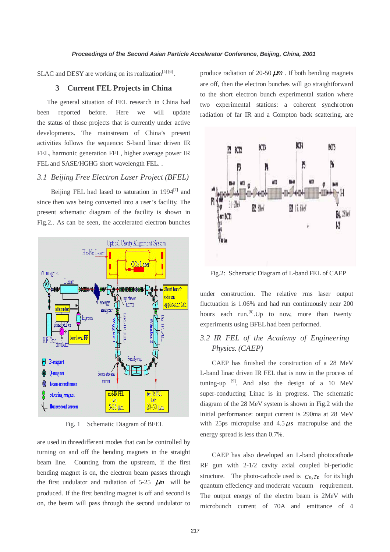SLAC and DESY are working on its realization<sup>[5] [6]</sup>.

### **3 Current FEL Projects in China**

 The general situation of FEL research in China had been reported before. Here we will update the status of those projects that is currently under active developments. The mainstream of China's present activities follows the sequence: S-band linac driven IR FEL, harmonic generation FEL, higher average power IR FEL and SASE/HGHG short wavelength FEL. .

### *3.1 Beijing Free Electron Laser Project (BFEL)*

Beijing FEL had lased to saturation in  $1994^{[7]}$  and since then was being converted into a user's facility. The present schematic diagram of the facility is shown in Fig.2.. As can be seen, the accelerated electron bunches



Fig. 1 Schematic Diagram of BFEL

are used in threedifferent modes that can be controlled by turning on and off the bending magnets in the straight beam line. Counting from the upstream, if the first bending magnet is on, the electron beam passes through the first undulator and radiation of  $5-25$   $\mu$ m will be produced. If the first bending magnet is off and second is on, the beam will pass through the second undulator to produce radiation of 20-50  $\mu$ m. If both bending magnets are off, then the electron bunches will go straightforward to the short electron bunch experimental station where two experimental stations: a coherent synchrotron radiation of far IR and a Compton back scattering, are



Fig.2: Schematic Diagram of L-band FEL of CAEP

under construction. The relative rms laser output fluctuation is 1.06% and had run continuously near 200 hours each run.<sup>[8]</sup>. Up to now, more than twenty experiments using BFEL had been performed.

# *3.2 IR FEL of the Academy of Engineering Physics. (CAEP)*

CAEP has finished the construction of a 28 MeV L-band linac driven IR FEL that is now in the process of tuning-up  $^{[9]}$ . And also the design of a 10 MeV super-conducting Linac is in progress. The schematic diagram of the 28 MeV system is shown in Fig.2 with the initial performance: output current is 290ma at 28 MeV with 25ps micropulse and  $4.5 \mu s$  macropulse and the energy spread is less than 0.7%.

CAEP has also developed an L-band photocathode RF gun with 2-1/2 cavity axial coupled bi-periodic structure. The photo-cathode used is  $Cs<sub>2</sub>Te$  for its high quantum effeciency and moderate vacuum requirement. The output energy of the electrn beam is 2MeV with microbunch current of 70A and emittance of 4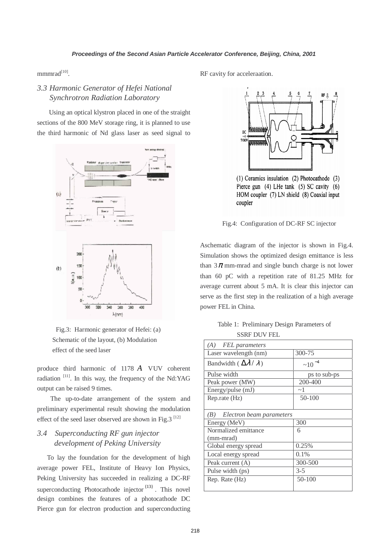mmmrad<sup>[10]</sup>.

# *3.3 Harmonic Generator of Hefei National Synchrotron Radiation Laboratory*

Using an optical klystron placed in one of the straight sections of the 800 MeV storage ring, it is planned to use the third harmonic of Nd glass laser as seed signal to



Fig.3: Harmonic generator of Hefei: (a) Schematic of the layout, (b) Modulation effect of the seed laser

produce third harmonic of 1178 *A* VUV coherent radiation [11]. In this way, the frequency of the Nd:YAG output can be raised 9 times.

 The up-to-date arrangement of the system and preliminary experimental result showing the modulation effect of the seed laser observed are shown in Fig.3  $^{[12]}$ 

# *3.4 Superconducting RF gun injector development of Peking University*

 To lay the foundation for the development of high average power FEL, Institute of Heavy Ion Physics, Peking University has succeeded in realizing a DC-RF superconducting Photocathode injector<sup>{13}</sup>. This novel design combines the features of a photocathode DC Pierce gun for electron production and superconducting RF cavity for acceleraation.



 $(1)$  Ceramics insulation  $(2)$  Photocathode  $(3)$ Pierce gun  $(4)$  LHe tank  $(5)$  SC cavity  $(6)$ HOM coupler (7) LN shield (8) Coaxial input coupler

Fig.4: Configuration of DC-RF SC injector

Aschematic diagram of the injector is shown in Fig.4. Simulation shows the optimized design emittance is less than  $3\pi$  mm-mrad and single bunch charge is not lower than 60 pC with a repetition rate of 81.25 MHz for average current about 5 mA. It is clear this injector can serve as the first step in the realization of a high average power FEL in China.

### Table 1: Preliminary Design Parameters of SSRF DUV FEL

| (A) FEL parameters                       |                |
|------------------------------------------|----------------|
| Laser wavelength (nm)                    | 300-75         |
| Bandwidth ( $\Delta \lambda / \lambda$ ) | $\sim 10^{-4}$ |
| Pulse width                              | ps to sub-ps   |
| Peak power (MW)                          | 200-400        |
| Energy/pulse (mJ)                        | $\sim$ 1       |
| Rep.rate (Hz)                            | 50-100         |
|                                          |                |
| (B) Electron beam parameters             |                |
| Energy (MeV)                             | 300            |
| Normalized emittance                     | 6              |
| (mm-mrad)                                |                |
| Global energy spread                     | 0.25%          |
| Local energy spread                      | 0.1%           |
| Peak current (A)                         | 300-500        |
| Pulse width (ps)                         | $3 - 5$        |
| Rep. Rate (Hz)                           | 50-100         |
|                                          |                |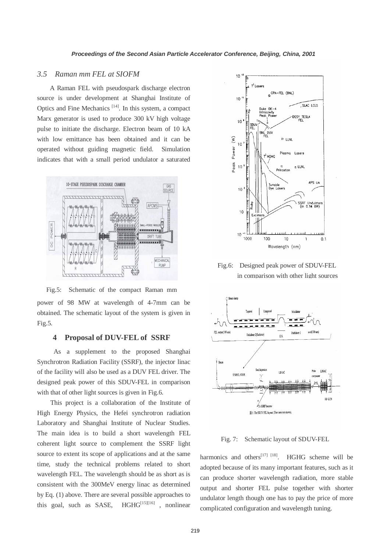#### *3.5 Raman mm FEL at SIOFM*

A Raman FEL with pseudospark discharge electron source is under development at Shanghai Institute of Optics and Fine Mechanics  $[14]$ . In this system, a compact Marx generator is used to produce 300 kV high voltage pulse to initiate the discharge. Electron beam of 10 kA with low emittance has been obtained and it can be operated without guiding magnetic field. Simulation indicates that with a small period undulator a saturated



power of 98 MW at wavelength of 4-7mm can be obtained. The schematic layout of the system is given in Fig.5. Fig.5: Schematic of the compact Raman mm

#### **4 Proposal of DUV-FEL of SSRF**

 As a supplement to the proposed Shanghai Synchrotron Radiation Facility (SSRF), the injector linac of the facility will also be used as a DUV FEL driver. The designed peak power of this SDUV-FEL in comparison with that of other light sources is given in Fig.6.

 This project is a collaboration of the Institute of High Energy Physics, the Hefei synchrotron radiation Laboratory and Shanghai Institute of Nuclear Studies. The main idea is to build a short wavelength FEL coherent light source to complement the SSRF light source to extent its scope of applications and at the same time, study the technical problems related to short wavelength FEL. The wavelength should be as short as is consistent with the 300MeV energy linac as determined by Eq. (1) above. There are several possible approaches to this goal, such as SASE, HGHG<sup>[15][16]</sup>, nonlinear



Fig.6: Designed peak power of SDUV-FEL in comparison with other light sources



Fig. 7: Schematic layout of SDUV-FEL

harmonics and others<sup>[17] [18]</sup>. HGHG scheme will be adopted because of its many important features, such as it can produce shorter wavelength radiation, more stable output and shorter FEL pulse together with shorter undulator length though one has to pay the price of more complicated configuration and wavelength tuning.